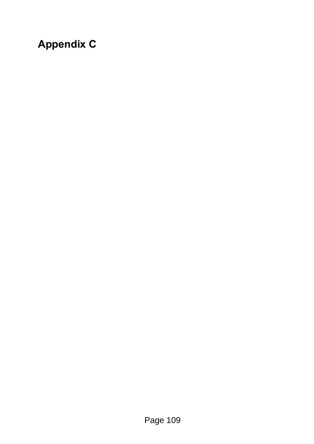# **Appendix C**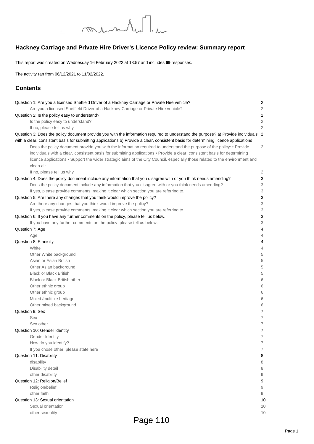# **Hackney Carriage and Private Hire Driver's Licence Policy review: Summary report**

This report was created on Wednesday 16 February 2022 at 13:57 and includes **69** responses.

munutu

The activity ran from 06/12/2021 to 11/02/2022.

# **Contents**

| Question 1: Are you a licensed Sheffield Driver of a Hackney Carriage or Private Hire vehicle?                                       | 2                |
|--------------------------------------------------------------------------------------------------------------------------------------|------------------|
| Are you a licensed Sheffield Driver of a Hackney Carriage or Private Hire vehicle?                                                   | 2                |
| Question 2: Is the policy easy to understand?                                                                                        | $\boldsymbol{2}$ |
| Is the policy easy to understand?                                                                                                    | 2                |
| If no, please tell us why                                                                                                            | 2                |
| Question 3: Does the policy document provide you with the information required to understand the purpose? a) Provide individuals 2   |                  |
| with a clear, consistent basis for submitting applications b) Provide a clear, consistent basis for determining licence applications |                  |
| Does the policy document provide you with the information required to understand the purpose of the policy: • Provide                | $\overline{2}$   |
| individuals with a clear, consistent basis for submitting applications . Provide a clear, consistent basis for determining           |                  |
| licence applications . Support the wider strategic aims of the City Council, especially those related to the environment and         |                  |
| clean air                                                                                                                            |                  |
| If no, please tell us why                                                                                                            | 2                |
| Question 4: Does the policy document include any information that you disagree with or you think needs amending?                     | 3                |
| Does the policy document include any information that you disagree with or you think needs amending?                                 | 3                |
| If yes, please provide comments, making it clear which section you are referring to.                                                 | 3                |
| Question 5: Are there any changes that you think would improve the policy?                                                           | 3                |
| Are there any changes that you think would improve the policy?                                                                       | 3                |
| If yes, please provide comments, making it clear which section you are referring to.                                                 | 3                |
| Question 6: If you have any further comments on the policy, please tell us below.                                                    | 3                |
| If you have any further comments on the policy, please tell us below.                                                                | 3                |
| Question 7: Age                                                                                                                      | 4                |
| Age                                                                                                                                  | 4                |
| Question 8: Ethnicity                                                                                                                | 4                |
| White                                                                                                                                | 4                |
| Other White background                                                                                                               | 5                |
| Asian or Asian British                                                                                                               | 5                |
| Other Asian background                                                                                                               | 5                |
| <b>Black or Black British</b>                                                                                                        | 5                |
| <b>Black or Black British other</b>                                                                                                  | 6                |
| Other ethnic group                                                                                                                   | 6                |
| Other ethnic group                                                                                                                   | 6                |
| Mixed /multiple heritage                                                                                                             | 6                |
| Other mixed background                                                                                                               | 6                |
| Question 9: Sex                                                                                                                      | $\overline{7}$   |
| Sex                                                                                                                                  | $\overline{7}$   |
| Sex other                                                                                                                            | $\overline{7}$   |
| Question 10: Gender Identity                                                                                                         | 7                |
| Gender Identity                                                                                                                      | 7                |
| How do you identify?                                                                                                                 | 7                |
| If you chose other, please state here                                                                                                | 7                |
| Question 11: Disability                                                                                                              | 8                |
| disability                                                                                                                           | 8                |
| Disability detail                                                                                                                    | 8                |
| other disability                                                                                                                     | 9                |
| Question 12: Religion/Belief                                                                                                         | 9                |
| Religion/belief                                                                                                                      | 9                |
| other faith                                                                                                                          | 9                |
| Question 13: Sexual orientation                                                                                                      | 10               |
| Sexual orientation                                                                                                                   | 10               |
| other sexuality                                                                                                                      | 10               |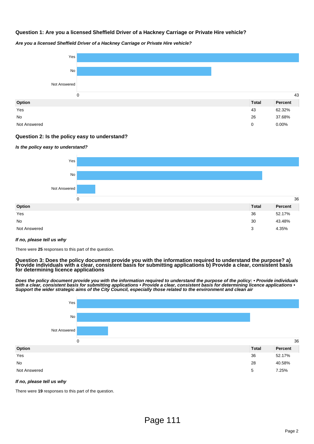# **Question 1: Are you a licensed Sheffield Driver of a Hackney Carriage or Private Hire vehicle?**



#### **Are you a licensed Sheffield Driver of a Hackney Carriage or Private Hire vehicle?**

# **Question 2: Is the policy easy to understand?**

#### **Is the policy easy to understand?**



#### **If no, please tell us why**

There were **25** responses to this part of the question.

**Question 3: Does the policy document provide you with the information required to understand the purpose? a) Provide individuals with a clear, consistent basis for submitting applications b) Provide a clear, consistent basis for determining licence applications**

**Does the policy document provide you with the information required to understand the purpose of the policy: • Provide individuals with a clear, consistent basis for submitting applications • Provide a clear, consistent basis for determining licence applications • Support the wider strategic aims of the City Council, especially those related to the environment and clean air**



#### **If no, please tell us why**

There were **19** responses to this part of the question.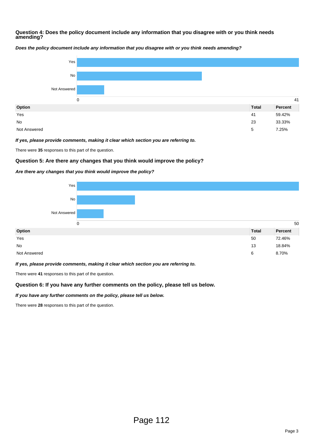# **Question 4: Does the policy document include any information that you disagree with or you think needs amending?**



**Does the policy document include any information that you disagree with or you think needs amending?**

#### **If yes, please provide comments, making it clear which section you are referring to.**

There were **35** responses to this part of the question.

# **Question 5: Are there any changes that you think would improve the policy?**

#### **Are there any changes that you think would improve the policy?**



#### **If yes, please provide comments, making it clear which section you are referring to.**

There were **41** responses to this part of the question.

# **Question 6: If you have any further comments on the policy, please tell us below.**

#### **If you have any further comments on the policy, please tell us below.**

There were **28** responses to this part of the question.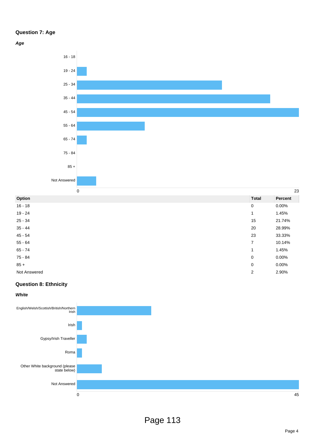# **Question 7: Age**

**Age**



| Option       | <b>Total</b>             | Percent |
|--------------|--------------------------|---------|
| $16 - 18$    | $\mathbf 0$              | 0.00%   |
| 19 - 24      | 1                        | 1.45%   |
| $25 - 34$    | 15                       | 21.74%  |
| $35 - 44$    | 20                       | 28.99%  |
| $45 - 54$    | 23                       | 33.33%  |
| $55 - 64$    | $\overline{7}$           | 10.14%  |
| $65 - 74$    | $\overline{\phantom{a}}$ | 1.45%   |
| 75 - 84      | $\mathbf 0$              | 0.00%   |
| $85 +$       | 0                        | 0.00%   |
| Not Answered | $\overline{2}$           | 2.90%   |

# **Question 8: Ethnicity**

**White**



Page 4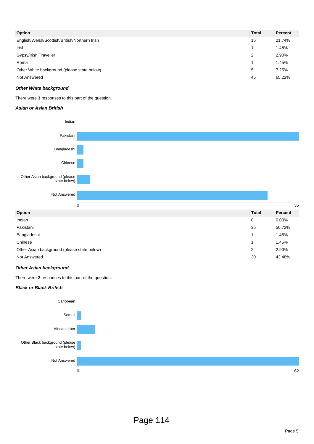| Option                                        | <b>Total</b> | <b>Percent</b> |
|-----------------------------------------------|--------------|----------------|
| English/Welsh/Scottish/British/Northern Irish | 15           | 21.74%         |
| Irish                                         |              | 1.45%          |
| Gypsy/Irish Traveller                         | 2            | 2.90%          |
| Roma                                          |              | 1.45%          |
| Other White background (please state below)   | 5            | 7.25%          |
| Not Answered                                  | 45           | 65.22%         |

# **Other White background**

There were **3** responses to this part of the question.

#### **Asian or Asian British**



| <b>Total</b> | <b>Percent</b> |
|--------------|----------------|
| 0            | $0.00\%$       |
| 35           | 50.72%         |
|              | 1.45%          |
|              | 1.45%          |
| 2            | 2.90%          |
| 30           | 43.48%         |
|              |                |

#### **Other Asian background**

There were **2** responses to this part of the question.

#### **Black or Black British**

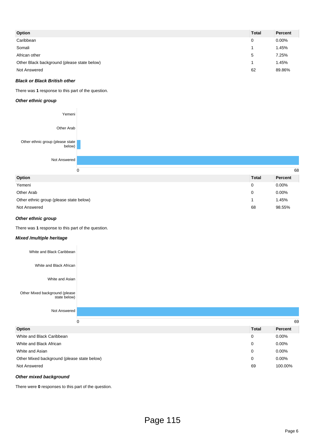| Option                                      | <b>Total</b> | Percent  |
|---------------------------------------------|--------------|----------|
| Caribbean                                   | 0            | $0.00\%$ |
| Somali                                      |              | 1.45%    |
| African other                               | 5            | 7.25%    |
| Other Black background (please state below) |              | 1.45%    |
| Not Answered                                | 62           | 89.86%   |

# **Black or Black British other**

There was **1** response to this part of the question.

#### **Other ethnic group**



| Option                                  | <b>Total</b> | Percent  |
|-----------------------------------------|--------------|----------|
| Yemeni                                  |              | $0.00\%$ |
| Other Arab                              |              | 0.00%    |
| Other ethnic group (please state below) |              | 1.45%    |
| Not Answered                            | 68           | 98.55%   |

## **Other ethnic group**

There was **1** response to this part of the question.

#### **Mixed /multiple heritage**

| Option                                         |  | <b>Total</b> | Percent |  |
|------------------------------------------------|--|--------------|---------|--|
| 0                                              |  |              | 69      |  |
| Not Answered                                   |  |              |         |  |
| Other Mixed background (please<br>state below) |  |              |         |  |
| White and Asian                                |  |              |         |  |
| White and Black African                        |  |              |         |  |
| White and Black Caribbean                      |  |              |         |  |
|                                                |  |              |         |  |

| <b>UPHOIL</b>                               | ι υιαι | rercent  |
|---------------------------------------------|--------|----------|
| White and Black Caribbean                   | 0      | $0.00\%$ |
| White and Black African                     |        | $0.00\%$ |
| White and Asian                             |        | $0.00\%$ |
| Other Mixed background (please state below) | 0      | $0.00\%$ |
| Not Answered                                | 69     | 100.00%  |
|                                             |        |          |

#### **Other mixed background**

There were **0** responses to this part of the question.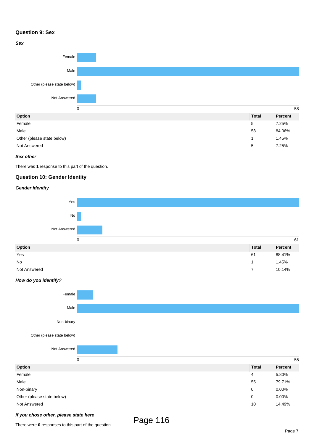# **Question 9: Sex**



Not Answered 5 7.25%

#### **Sex other**

There was **1** response to this part of the question.

# **Question 10: Gender Identity**

#### **Gender Identity**



## **How do you identify?**



### **If you chose other, please state here**

There were **0** responses to this part of the question.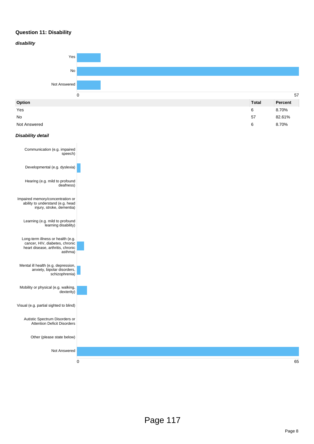# **Question 11: Disability**



No  $57$  82.61%

Not Answered  $\,$   $\,$  8.70%  $\,$   $\,$  8.70%  $\,$   $\,$   $\,$  8.70%  $\,$   $\,$   $\,$  8.70%  $\,$   $\,$  8.70%  $\,$   $\,$  8.70%  $\,$   $\,$  8.70%  $\,$   $\,$  8.70%  $\,$   $\,$  8.70%  $\,$   $\,$  8.70%  $\,$   $\,$  8.70%  $\,$   $\,$  8.70%  $\,$ 

#### **Disability detail**

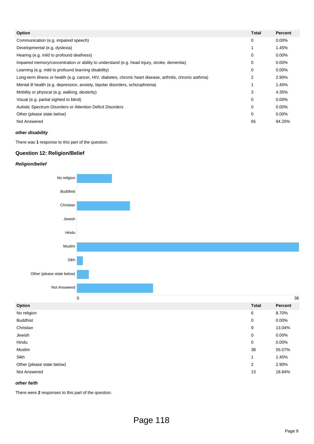| Option                                                                                                     | <b>Total</b> | <b>Percent</b> |
|------------------------------------------------------------------------------------------------------------|--------------|----------------|
| Communication (e.g. impaired speech)                                                                       | 0            | $0.00\%$       |
| Developmental (e.g. dyslexia)                                                                              |              | 1.45%          |
| Hearing (e.g. mild to profound deafness)                                                                   | 0            | 0.00%          |
| Impaired memory/concentration or ability to understand (e.g. head injury, stroke, dementia)                | 0            | $0.00\%$       |
| Learning (e.g. mild to profound learning disability)                                                       | 0            | 0.00%          |
| Long-term illness or health (e.g. cancer, HIV, diabetes, chronic heart disease, arthritis, chronic asthma) | 2            | 2.90%          |
| Mental ill health (e.g. depression, anxiety, bipolar disorders, schizophrenia)                             |              | 1.45%          |
| Mobility or physical (e.g. walking, dexterity)                                                             | 3            | 4.35%          |
| Visual (e.g. partial sighted to blind)                                                                     | 0            | 0.00%          |
| Autistic Spectrum Disorders or Attention Deficit Disorders                                                 | 0            | $0.00\%$       |
| Other (please state below)                                                                                 | 0            | 0.00%          |
| Not Answered                                                                                               | 65           | 94.20%         |

## **other disability**

There was **1** response to this part of the question.

# **Question 12: Religion/Belief**

#### **Religion/belief**



## **other faith**

There were **2** responses to this part of the question.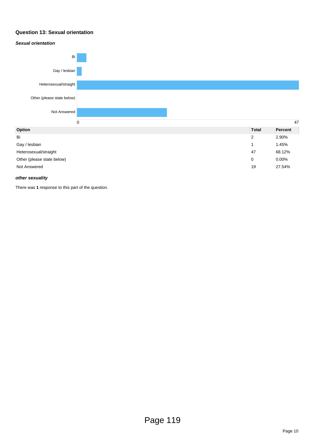# **Question 13: Sexual orientation**

#### **Sexual orientation**



Other (please state below) 0 0.00%

Not Answered 19 27.54%

#### **other sexuality**

There was **1** response to this part of the question.